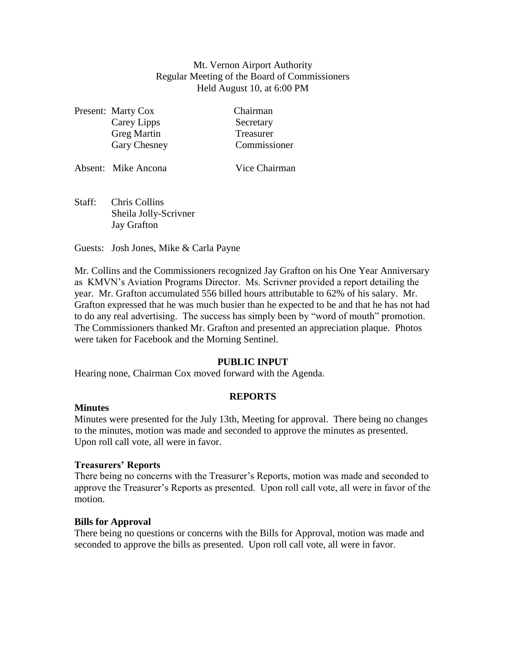## Mt. Vernon Airport Authority Regular Meeting of the Board of Commissioners Held August 10, at 6:00 PM

|  | Present: Marty Cox | Chairman     |
|--|--------------------|--------------|
|  | Carey Lipps        | Secretary    |
|  | <b>Greg Martin</b> | Treasurer    |
|  | Gary Chesney       | Commissioner |
|  |                    |              |

| Absent: Mike Ancona | Vice Chairman |
|---------------------|---------------|
|                     |               |

Staff: Chris Collins Sheila Jolly-Scrivner Jay Grafton

Guests: Josh Jones, Mike & Carla Payne

Mr. Collins and the Commissioners recognized Jay Grafton on his One Year Anniversary as KMVN's Aviation Programs Director. Ms. Scrivner provided a report detailing the year. Mr. Grafton accumulated 556 billed hours attributable to 62% of his salary. Mr. Grafton expressed that he was much busier than he expected to be and that he has not had to do any real advertising. The success has simply been by "word of mouth" promotion. The Commissioners thanked Mr. Grafton and presented an appreciation plaque. Photos were taken for Facebook and the Morning Sentinel.

# **PUBLIC INPUT**

Hearing none, Chairman Cox moved forward with the Agenda.

# **REPORTS**

# **Minutes**

Minutes were presented for the July 13th, Meeting for approval. There being no changes to the minutes, motion was made and seconded to approve the minutes as presented. Upon roll call vote, all were in favor.

## **Treasurers' Reports**

There being no concerns with the Treasurer's Reports, motion was made and seconded to approve the Treasurer's Reports as presented. Upon roll call vote, all were in favor of the motion.

# **Bills for Approval**

There being no questions or concerns with the Bills for Approval, motion was made and seconded to approve the bills as presented. Upon roll call vote, all were in favor.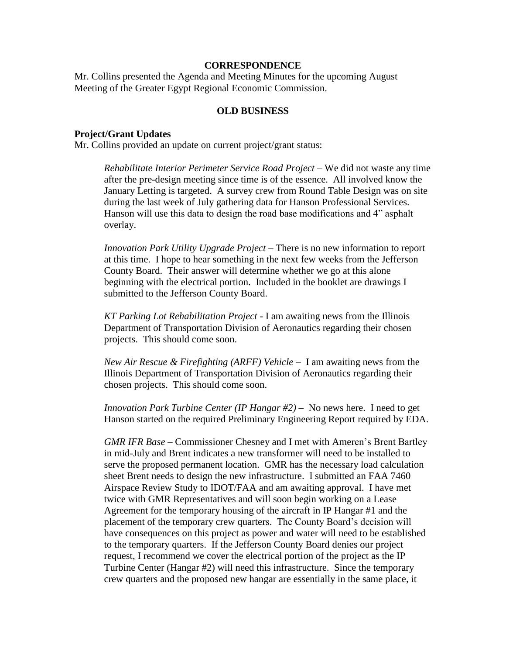#### **CORRESPONDENCE**

Mr. Collins presented the Agenda and Meeting Minutes for the upcoming August Meeting of the Greater Egypt Regional Economic Commission.

### **OLD BUSINESS**

### **Project/Grant Updates**

Mr. Collins provided an update on current project/grant status:

*Rehabilitate Interior Perimeter Service Road Project* – We did not waste any time after the pre-design meeting since time is of the essence. All involved know the January Letting is targeted. A survey crew from Round Table Design was on site during the last week of July gathering data for Hanson Professional Services. Hanson will use this data to design the road base modifications and 4" asphalt overlay.

*Innovation Park Utility Upgrade Project –* There is no new information to report at this time. I hope to hear something in the next few weeks from the Jefferson County Board. Their answer will determine whether we go at this alone beginning with the electrical portion. Included in the booklet are drawings I submitted to the Jefferson County Board.

*KT Parking Lot Rehabilitation Project -* I am awaiting news from the Illinois Department of Transportation Division of Aeronautics regarding their chosen projects. This should come soon.

*New Air Rescue & Firefighting (ARFF) Vehicle* – I am awaiting news from the Illinois Department of Transportation Division of Aeronautics regarding their chosen projects. This should come soon.

*Innovation Park Turbine Center (IP Hangar #2)* – No news here. I need to get Hanson started on the required Preliminary Engineering Report required by EDA.

*GMR IFR Base* – Commissioner Chesney and I met with Ameren's Brent Bartley in mid-July and Brent indicates a new transformer will need to be installed to serve the proposed permanent location. GMR has the necessary load calculation sheet Brent needs to design the new infrastructure. I submitted an FAA 7460 Airspace Review Study to IDOT/FAA and am awaiting approval. I have met twice with GMR Representatives and will soon begin working on a Lease Agreement for the temporary housing of the aircraft in IP Hangar #1 and the placement of the temporary crew quarters. The County Board's decision will have consequences on this project as power and water will need to be established to the temporary quarters. If the Jefferson County Board denies our project request, I recommend we cover the electrical portion of the project as the IP Turbine Center (Hangar #2) will need this infrastructure. Since the temporary crew quarters and the proposed new hangar are essentially in the same place, it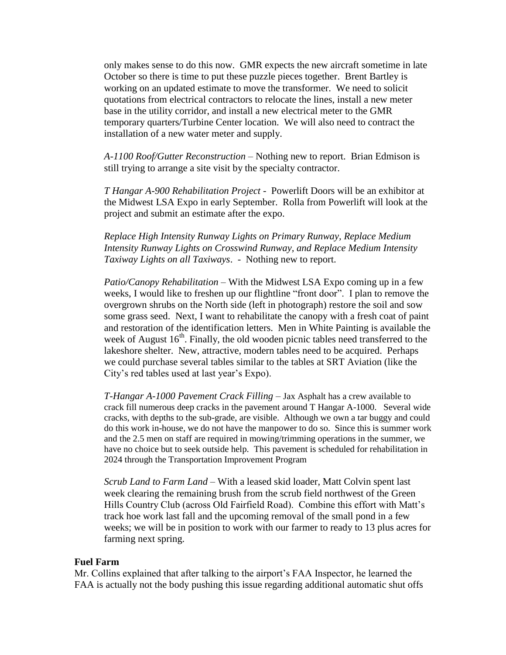only makes sense to do this now. GMR expects the new aircraft sometime in late October so there is time to put these puzzle pieces together. Brent Bartley is working on an updated estimate to move the transformer. We need to solicit quotations from electrical contractors to relocate the lines, install a new meter base in the utility corridor, and install a new electrical meter to the GMR temporary quarters/Turbine Center location. We will also need to contract the installation of a new water meter and supply.

*A-1100 Roof/Gutter Reconstruction* – Nothing new to report. Brian Edmison is still trying to arrange a site visit by the specialty contractor.

*T Hangar A-900 Rehabilitation Project* - Powerlift Doors will be an exhibitor at the Midwest LSA Expo in early September. Rolla from Powerlift will look at the project and submit an estimate after the expo.

*Replace High Intensity Runway Lights on Primary Runway, Replace Medium Intensity Runway Lights on Crosswind Runway, and Replace Medium Intensity Taxiway Lights on all Taxiways*. - Nothing new to report.

*Patio/Canopy Rehabilitation* – With the Midwest LSA Expo coming up in a few weeks, I would like to freshen up our flightline "front door". I plan to remove the overgrown shrubs on the North side (left in photograph) restore the soil and sow some grass seed. Next, I want to rehabilitate the canopy with a fresh coat of paint and restoration of the identification letters. Men in White Painting is available the week of August  $16<sup>th</sup>$ . Finally, the old wooden picnic tables need transferred to the lakeshore shelter. New, attractive, modern tables need to be acquired. Perhaps we could purchase several tables similar to the tables at SRT Aviation (like the City's red tables used at last year's Expo).

*T-Hangar A-1000 Pavement Crack Filling* – Jax Asphalt has a crew available to crack fill numerous deep cracks in the pavement around T Hangar A-1000. Several wide cracks, with depths to the sub-grade, are visible. Although we own a tar buggy and could do this work in-house, we do not have the manpower to do so. Since this is summer work and the 2.5 men on staff are required in mowing/trimming operations in the summer, we have no choice but to seek outside help. This pavement is scheduled for rehabilitation in 2024 through the Transportation Improvement Program

*Scrub Land to Farm Land* – With a leased skid loader, Matt Colvin spent last week clearing the remaining brush from the scrub field northwest of the Green Hills Country Club (across Old Fairfield Road). Combine this effort with Matt's track hoe work last fall and the upcoming removal of the small pond in a few weeks; we will be in position to work with our farmer to ready to 13 plus acres for farming next spring.

### **Fuel Farm**

Mr. Collins explained that after talking to the airport's FAA Inspector, he learned the FAA is actually not the body pushing this issue regarding additional automatic shut offs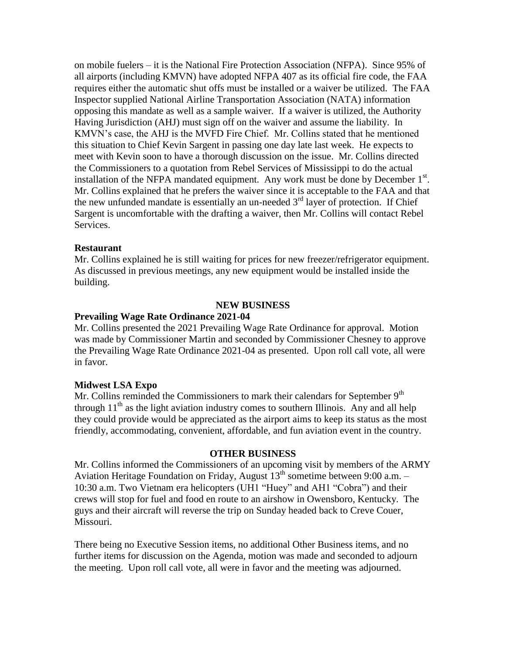on mobile fuelers – it is the National Fire Protection Association (NFPA). Since 95% of all airports (including KMVN) have adopted NFPA 407 as its official fire code, the FAA requires either the automatic shut offs must be installed or a waiver be utilized. The FAA Inspector supplied National Airline Transportation Association (NATA) information opposing this mandate as well as a sample waiver. If a waiver is utilized, the Authority Having Jurisdiction (AHJ) must sign off on the waiver and assume the liability. In KMVN's case, the AHJ is the MVFD Fire Chief. Mr. Collins stated that he mentioned this situation to Chief Kevin Sargent in passing one day late last week. He expects to meet with Kevin soon to have a thorough discussion on the issue. Mr. Collins directed the Commissioners to a quotation from Rebel Services of Mississippi to do the actual installation of the NFPA mandated equipment. Any work must be done by December  $1<sup>st</sup>$ . Mr. Collins explained that he prefers the waiver since it is acceptable to the FAA and that the new unfunded mandate is essentially an un-needed  $3<sup>rd</sup>$  layer of protection. If Chief Sargent is uncomfortable with the drafting a waiver, then Mr. Collins will contact Rebel Services.

### **Restaurant**

Mr. Collins explained he is still waiting for prices for new freezer/refrigerator equipment. As discussed in previous meetings, any new equipment would be installed inside the building.

### **NEW BUSINESS**

#### **Prevailing Wage Rate Ordinance 2021-04**

Mr. Collins presented the 2021 Prevailing Wage Rate Ordinance for approval. Motion was made by Commissioner Martin and seconded by Commissioner Chesney to approve the Prevailing Wage Rate Ordinance 2021-04 as presented. Upon roll call vote, all were in favor.

#### **Midwest LSA Expo**

Mr. Collins reminded the Commissioners to mark their calendars for September 9<sup>th</sup> through  $11<sup>th</sup>$  as the light aviation industry comes to southern Illinois. Any and all help they could provide would be appreciated as the airport aims to keep its status as the most friendly, accommodating, convenient, affordable, and fun aviation event in the country.

#### **OTHER BUSINESS**

Mr. Collins informed the Commissioners of an upcoming visit by members of the ARMY Aviation Heritage Foundation on Friday, August  $13<sup>th</sup>$  sometime between 9:00 a.m. – 10:30 a.m. Two Vietnam era helicopters (UH1 "Huey" and AH1 "Cobra") and their crews will stop for fuel and food en route to an airshow in Owensboro, Kentucky. The guys and their aircraft will reverse the trip on Sunday headed back to Creve Couer, Missouri.

There being no Executive Session items, no additional Other Business items, and no further items for discussion on the Agenda, motion was made and seconded to adjourn the meeting. Upon roll call vote, all were in favor and the meeting was adjourned.